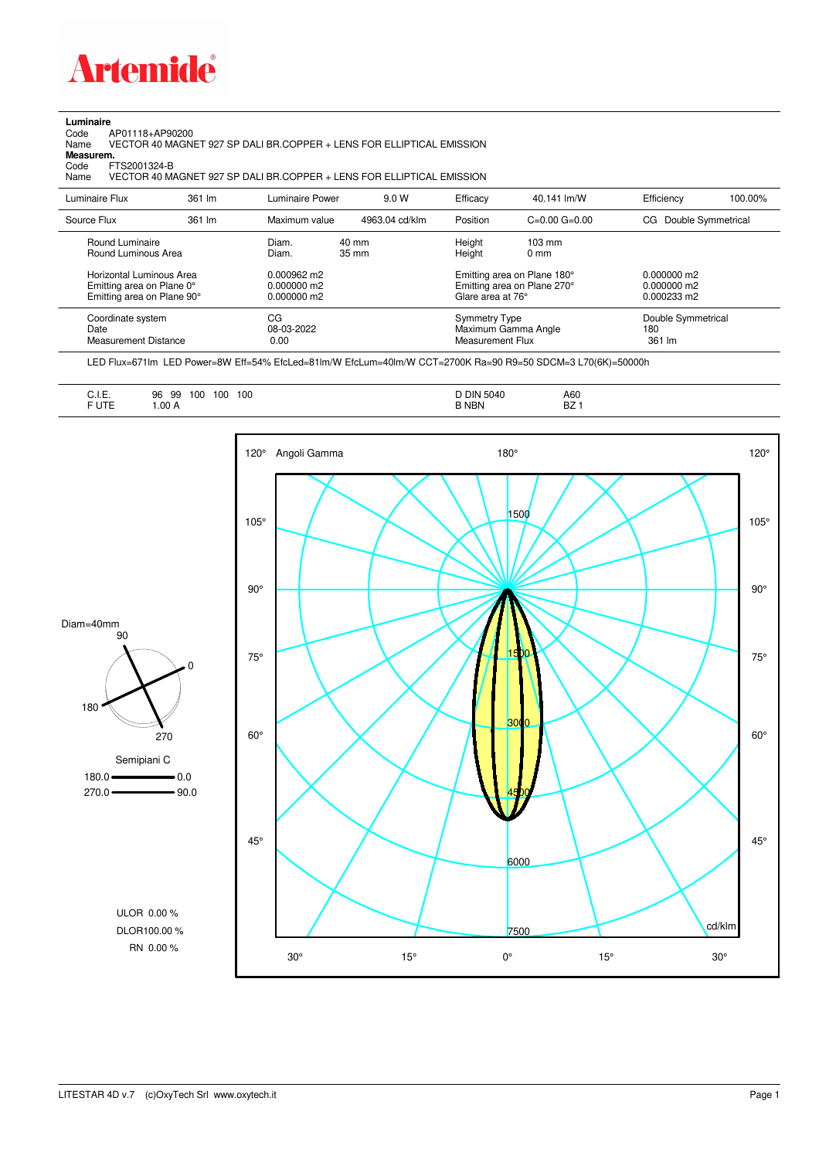

## **Luminaire**

Code AP01118+AP90200 Name VECTOR 40 MAGNET 927 SP DALI BR.COPPER + LENS FOR ELLIPTICAL EMISSION Code A<br>Name V<br>**Measurem.** 

Code FTS2001324-B<br>Name VECTOR 40 M/ Name VECTOR 40 MAGNET 927 SP DALI BR.COPPER + LENS FOR ELLIPTICAL EMISSION

| Luminaire Flux                                                                                                                | 361 lm | Luminaire Power                                                          | 9.0 W          | Efficacy                                 | 40.141 lm/W                                                                                      | Efficiency                                             | 100.00% |
|-------------------------------------------------------------------------------------------------------------------------------|--------|--------------------------------------------------------------------------|----------------|------------------------------------------|--------------------------------------------------------------------------------------------------|--------------------------------------------------------|---------|
| Source Flux                                                                                                                   | 361 lm | Maximum value                                                            | 4963.04 cd/klm | Position                                 | $C=0.00$ $G=0.00$                                                                                | Double Symmetrical<br>CG                               |         |
| Round Luminaire<br>Round Luminous Area<br>Horizontal Luminous Area<br>Emitting area on Plane 0°<br>Emitting area on Plane 90° |        | Diam.<br>Diam.<br>$0.000962 \text{ m}$<br>$0.000000$ m2<br>$0.000000$ m2 | 40 mm<br>35 mm | Height<br>Height<br>Glare area at 76°    | $103 \text{ mm}$<br>$0 \text{ mm}$<br>Emitting area on Plane 180°<br>Emitting area on Plane 270° | $0.000000$ m2<br>$0.000000$ m2<br>$0.000233 \text{ m}$ |         |
| Coordinate system<br>Date<br><b>Measurement Distance</b>                                                                      |        | CG<br>08-03-2022<br>0.00                                                 |                | <b>Symmetry Type</b><br>Measurement Flux | Maximum Gamma Angle                                                                              | Double Symmetrical<br>180<br>361 lm                    |         |

LED Flux=671lm LED Power=8W Eff=54% EfcLed=81lm/W EfcLum=40lm/W CCT=2700K Ra=90 R9=50 SDCM=3 L70(6K)=50000h